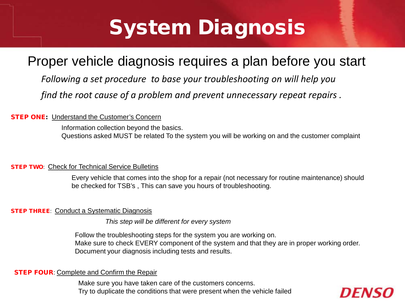# System Diagnosis

### Proper vehicle diagnosis requires a plan before you start

*Following a set procedure to base your troubleshooting on will help you find the root cause of a problem and prevent unnecessary repeat repairs .*

#### **STEP ONE:** Understand the Customer's Concern

Information collection beyond the basics. Questions asked MUST be related To the system you will be working on and the customer complaint

#### **STEP TWO: Check for Technical Service Bulletins**

Every vehicle that comes into the shop for a repair (not necessary for routine maintenance) should be checked for TSB's , This can save you hours of troubleshooting.

#### **STEP THREE: Conduct a Systematic Diagnosis**

*This step will be different for every system*

Follow the troubleshooting steps for the system you are working on. Make sure to check EVERY component of the system and that they are in proper working order. Document your diagnosis including tests and results.

#### **STEP FOUR: Complete and Confirm the Repair**

Make sure you have taken care of the customers concerns. Try to duplicate the conditions that were present when the vehicle failed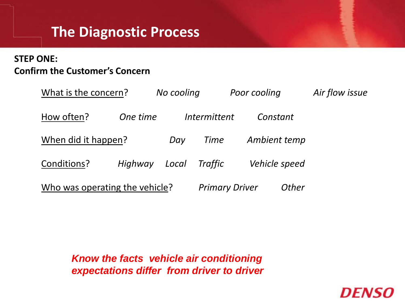## **The Diagnostic Process**

### **STEP ONE: Confirm the Customer's Concern**

| What is the concern?           |          | No cooling |                       | Poor cooling |               | Air flow issue |
|--------------------------------|----------|------------|-----------------------|--------------|---------------|----------------|
| How often?                     | One time |            | Intermittent          | Constant     |               |                |
| When did it happen?            |          | Day        | Time                  | Ambient temp |               |                |
| Conditions?                    | Highway  | Local      | <b>Traffic</b>        |              | Vehicle speed |                |
| Who was operating the vehicle? |          |            | <b>Primary Driver</b> |              | Other         |                |

*DENS* 

*Know the facts vehicle air conditioning expectations differ from driver to driver*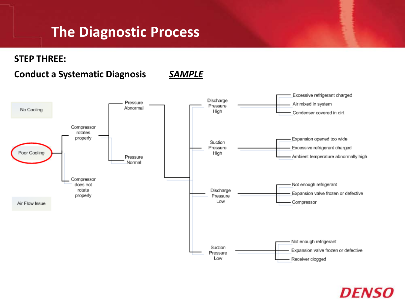## **The Diagnostic Process**

**STEP THREE:**

#### **Conduct a Systematic Diagnosis** *SAMPLE*



## *DENSC*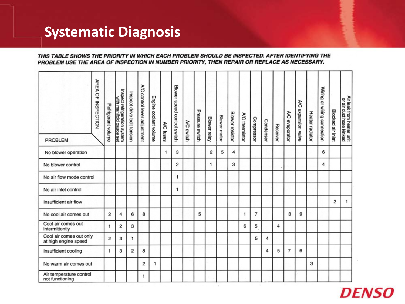## **Systematic Diagnosis**

#### THIS TABLE SHOWS THE PRIORITY IN WHICH EACH PROBLEM SHOULD BE INSPECTED. AFTER IDENTIFYING THE PROBLEM USE THE AREA OF INSPECTION IN NUMBER PRIORITY, THEN REPAIR OR REPLACE AS NECESSARY.

| AREA OF INSPECTION<br><b>PROBLEM</b>            | Refrigerant volume | Inspect refrigeration system<br>with manifold gauge set | Inspect drive belt tension | λC<br>control lever adjustment | Engine coolant volume | A/C fuses | Blower speed control switch | A/C switch | Pressure switch | Blower relay | <b>Blower motor</b> | Blower resistor | A/C thermistor | Compressor | Condenser | Receiver | A/C evaporator | A/C expansion valve | Heater radiator | Wiring or wiring connection | Blocked air inlet | Air leak from heater unit<br>or air duct hose kinked |
|-------------------------------------------------|--------------------|---------------------------------------------------------|----------------------------|--------------------------------|-----------------------|-----------|-----------------------------|------------|-----------------|--------------|---------------------|-----------------|----------------|------------|-----------|----------|----------------|---------------------|-----------------|-----------------------------|-------------------|------------------------------------------------------|
| No blower operation                             |                    |                                                         |                            |                                |                       | 1         | 3                           |            |                 | 2            | 5                   | 4               |                |            |           |          |                |                     |                 | 6                           |                   |                                                      |
| No blower control                               |                    |                                                         |                            |                                |                       |           | 2                           |            |                 | 1            |                     | 3               |                |            |           |          |                |                     |                 | 4                           |                   |                                                      |
| No air flow mode control                        |                    |                                                         |                            |                                |                       |           | 1                           |            |                 |              |                     |                 |                |            |           |          |                |                     |                 |                             |                   |                                                      |
| No air inlet control                            |                    |                                                         |                            |                                |                       |           | 1                           |            |                 |              |                     |                 |                |            |           |          |                |                     |                 |                             |                   |                                                      |
| Insufficient air flow                           |                    |                                                         |                            |                                |                       |           |                             |            |                 |              |                     |                 |                |            |           |          |                |                     |                 |                             | 2                 | 1                                                    |
| No cool air comes out                           | 2                  | 4                                                       | 6                          | 8                              |                       |           |                             |            | 5               |              |                     |                 | 1              | 7          |           |          | з              | 9                   |                 |                             |                   |                                                      |
| Cool air comes out<br>intermittently            | 1                  | 2                                                       | з                          |                                |                       |           |                             |            |                 |              |                     |                 | 6              | 5          |           | 4        |                |                     |                 |                             |                   |                                                      |
| Cool air comes out only<br>at high engine speed | $\overline{c}$     | з                                                       | 1                          |                                |                       |           |                             |            |                 |              |                     |                 |                | 5          | 4         |          |                |                     |                 |                             |                   |                                                      |
| Insufficient cooling                            | 1                  | 3                                                       | 2                          | 8                              |                       |           |                             |            |                 |              |                     |                 |                |            | 4         | 5        | 7              | 6                   |                 |                             |                   |                                                      |
| No warm air comes out                           |                    |                                                         |                            | 2                              | 1                     |           |                             |            |                 |              |                     |                 |                |            |           |          |                |                     | з               |                             |                   |                                                      |
| Air temperature control<br>not functioning      |                    |                                                         |                            | 1.                             |                       |           |                             |            |                 |              |                     |                 |                |            |           |          |                |                     |                 |                             |                   |                                                      |

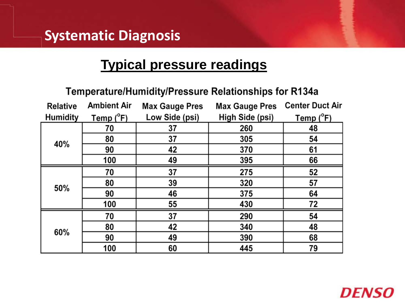### **Systematic Diagnosis**

### **Typical pressure readings**

#### Temperature/Humidity/Pressure Relationships for R134a

| <b>Relative</b> | <b>Ambient Air</b> | <b>Max Gauge Pres</b> | <b>Max Gauge Pres</b> | <b>Center Duct Air</b> |  |  |
|-----------------|--------------------|-----------------------|-----------------------|------------------------|--|--|
| <b>Humidity</b> | Temp (°F)          | Low Side (psi)        | High Side (psi)       | Temp $(^{\circ}F)$     |  |  |
| 40%             | 70                 | 37                    | 260                   | 48                     |  |  |
|                 | 80                 | 37                    | 305                   | 54                     |  |  |
|                 | 90                 | 42                    | 370                   | 61                     |  |  |
|                 | 100                | 49                    | 395                   | 66                     |  |  |
| 50%             | 70                 | 37                    | 275                   | 52                     |  |  |
|                 | 80                 | 39                    | 320                   | 57                     |  |  |
|                 | 90                 | 46                    | 375                   | 64                     |  |  |
|                 | 100                | 55                    | 430                   | 72                     |  |  |
| 60%             | 70                 | 37                    | 290                   | 54                     |  |  |
|                 | 80                 | 42                    | 340                   | 48                     |  |  |
|                 | 90                 | 49                    | 390                   | 68                     |  |  |
|                 | 100                | 60                    | 445                   | 79                     |  |  |

## *DENS*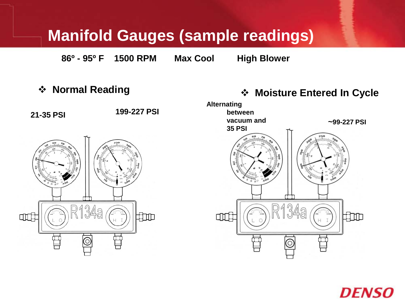# **Manifold Gauges (sample readings)**

**86º - 95º F 1500 RPM Max Cool High Blower**

**Normal Reading**





## *DENSC*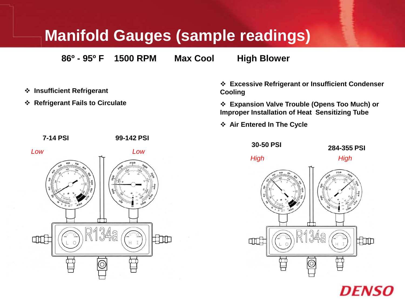## **Manifold Gauges (sample readings)**

**86º - 95º F 1500 RPM Max Cool High Blower**

- **Insufficient Refrigerant**
- **Refrigerant Fails to Circulate**

 **Excessive Refrigerant or Insufficient Condenser Cooling**

 **Expansion Valve Trouble (Opens Too Much) or Improper Installation of Heat Sensitizing Tube**

**Air Entered In The Cycle**





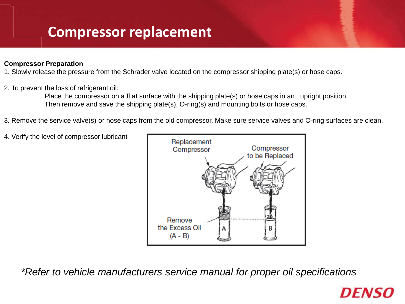## **Compressor replacement**

#### **Compressor Preparation**

1. Slowly release the pressure from the Schrader valve located on the compressor shipping plate(s) or hose caps.

#### 2. To prevent the loss of refrigerant oil:

Place the compressor on a fl at surface with the shipping plate(s) or hose caps in an upright position, Then remove and save the shipping plate(s), O-ring(s) and mounting bolts or hose caps.

- 3. Remove the service valve(s) or hose caps from the old compressor. Make sure service valves and O-ring surfaces are clean.
- 4. Verify the level of compressor lubricant



*\*Refer to vehicle manufacturers service manual for proper oil specifications* 

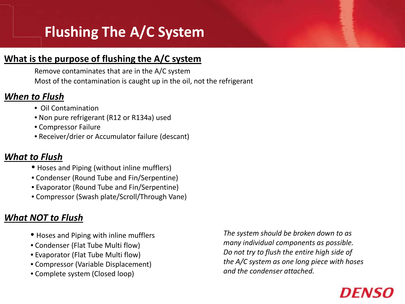# **Flushing The A/C System**

#### **What is the purpose of flushing the A/C system**

Most of the contamination is caught up in the oil, not the refrigerant Remove contaminates that are in the A/C system

#### *When to Flush*

- Oil Contamination
- Non pure refrigerant (R12 or R134a) used
- Compressor Failure
- Receiver/drier or Accumulator failure (descant)

### *What to Flush*

- Hoses and Piping (without inline mufflers)
- Condenser (Round Tube and Fin/Serpentine)
- Evaporator (Round Tube and Fin/Serpentine)
- Compressor (Swash plate/Scroll/Through Vane)

### *What NOT to Flush*

- Hoses and Piping with inline mufflers
- Condenser (Flat Tube Multi flow)
- Evaporator (Flat Tube Multi flow)
- Compressor (Variable Displacement)
- Complete system (Closed loop)

*The system should be broken down to as many individual components as possible. Do not try to flush the entire high side of the A/C system as one long piece with hoses and the condenser attached.*